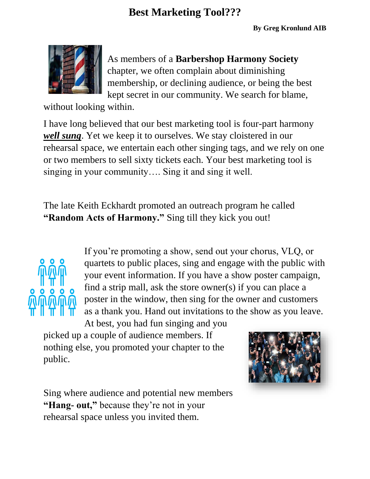

As members of a **Barbershop Harmony Society** chapter, we often complain about diminishing membership, or declining audience, or being the best kept secret in our community. We search for blame,

without looking within.

I have long believed that our best marketing tool is four-part harmony *well sung*. Yet we keep it to ourselves. We stay cloistered in our rehearsal space, we entertain each other singing tags, and we rely on one or two members to sell sixty tickets each. Your best marketing tool is singing in your community…. Sing it and sing it well.

The late Keith Eckhardt promoted an outreach program he called **"Random Acts of Harmony."** Sing till they kick you out!



If you're promoting a show, send out your chorus, VLQ, or quartets to public places, sing and engage with the public with your event information. If you have a show poster campaign, find a strip mall, ask the store owner(s) if you can place a poster in the window, then sing for the owner and customers as a thank you. Hand out invitations to the show as you leave.

At best, you had fun singing and you picked up a couple of audience members. If nothing else, you promoted your chapter to the public.



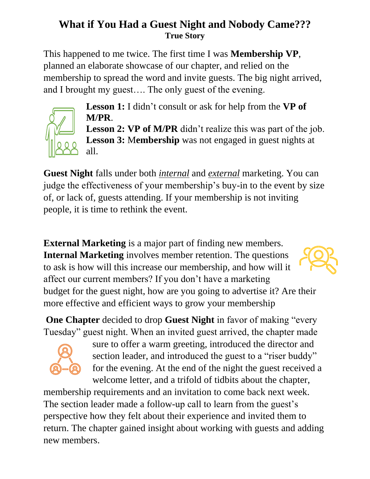## **What if You Had a Guest Night and Nobody Came??? True Story**

This happened to me twice. The first time I was **Membership VP**, planned an elaborate showcase of our chapter, and relied on the membership to spread the word and invite guests. The big night arrived, and I brought my guest…. The only guest of the evening.



**Lesson 1:** I didn't consult or ask for help from the **VP of M/PR**.

**Lesson 2: VP of M/PR** didn't realize this was part of the job. **Lesson 3: Membership** was not engaged in guest nights at all.

**Guest Night** falls under both *internal* and *external* marketing. You can judge the effectiveness of your membership's buy-in to the event by size of, or lack of, guests attending. If your membership is not inviting people, it is time to rethink the event.

**External Marketing** is a major part of finding new members. **Internal Marketing** involves member retention. The questions to ask is how will this increase our membership, and how will it affect our current members? If you don't have a marketing budget for the guest night, how are you going to advertise it? Are their more effective and efficient ways to grow your membership

**One Chapter** decided to drop **Guest Night** in favor of making "every Tuesday" guest night. When an invited guest arrived, the chapter made



sure to offer a warm greeting, introduced the director and section leader, and introduced the guest to a "riser buddy" for the evening. At the end of the night the guest received a welcome letter, and a trifold of tidbits about the chapter,

membership requirements and an invitation to come back next week. The section leader made a follow-up call to learn from the guest's perspective how they felt about their experience and invited them to return. The chapter gained insight about working with guests and adding new members.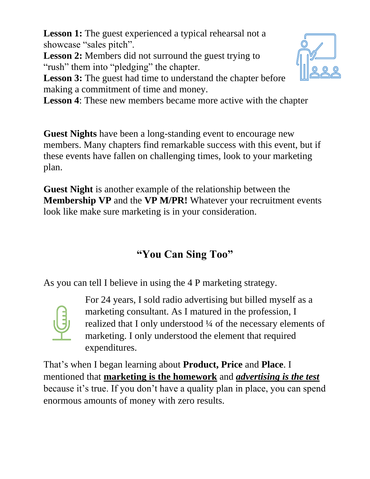**Lesson 1:** The guest experienced a typical rehearsal not a showcase "sales pitch".

**Lesson 2:** Members did not surround the guest trying to "rush" them into "pledging" the chapter.

**Lesson 3:** The guest had time to understand the chapter before making a commitment of time and money.

**Lesson 4**: These new members became more active with the chapter

**Guest Nights** have been a long-standing event to encourage new members. Many chapters find remarkable success with this event, but if these events have fallen on challenging times, look to your marketing plan.

**Guest Night** is another example of the relationship between the **Membership VP** and the **VP M/PR!** Whatever your recruitment events look like make sure marketing is in your consideration.

## **"You Can Sing Too"**

As you can tell I believe in using the 4 P marketing strategy.



For 24 years, I sold radio advertising but billed myself as a marketing consultant. As I matured in the profession, I realized that I only understood ¼ of the necessary elements of marketing. I only understood the element that required expenditures.

That's when I began learning about **Product, Price** and **Place**. I mentioned that **marketing is the homework** and *advertising is the test* because it's true. If you don't have a quality plan in place, you can spend enormous amounts of money with zero results.

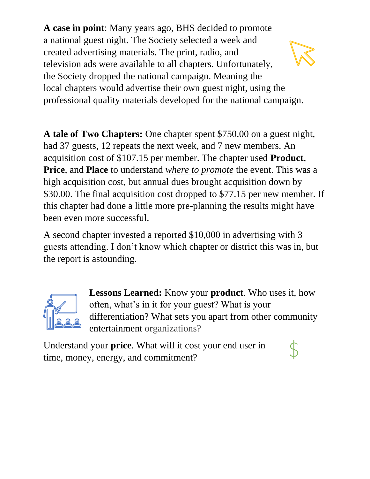**A case in point**: Many years ago, BHS decided to promote a national guest night. The Society selected a week and created advertising materials. The print, radio, and television ads were available to all chapters. Unfortunately, the Society dropped the national campaign. Meaning the local chapters would advertise their own guest night, using the professional quality materials developed for the national campaign.

**A tale of Two Chapters:** One chapter spent \$750.00 on a guest night, had 37 guests, 12 repeats the next week, and 7 new members. An acquisition cost of \$107.15 per member. The chapter used **Product**, **Price**, and **Place** to understand *where to promote* the event. This was a high acquisition cost, but annual dues brought acquisition down by \$30.00. The final acquisition cost dropped to \$77.15 per new member. If this chapter had done a little more pre-planning the results might have been even more successful.

A second chapter invested a reported \$10,000 in advertising with 3 guests attending. I don't know which chapter or district this was in, but the report is astounding.



**Lessons Learned:** Know your **product**. Who uses it, how often, what's in it for your guest? What is your differentiation? What sets you apart from other community entertainment organizations?

Understand your **price**. What will it cost your end user in time, money, energy, and commitment?